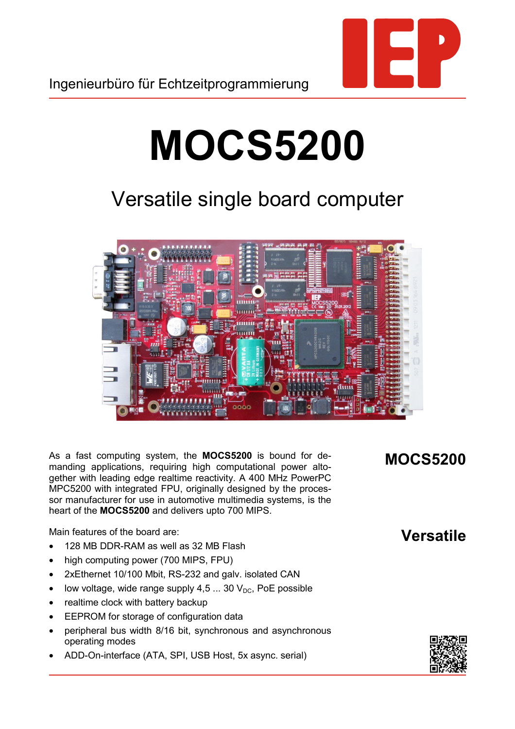

## **MOCS5200**

## Versatile single board computer



As a fast computing system, the **MOCS5200** is bound for demanding applications, requiring high computational power altogether with leading edge realtime reactivity. A 400 MHz PowerPC MPC5200 with integrated FPU, originally designed by the processor manufacturer for use in automotive multimedia systems, is the heart of the **MOCS5200** and delivers upto 700 MIPS.

Main features of the board are:

- 128 MB DDR-RAM as well as 32 MB Flash
- high computing power (700 MIPS, FPU)
- 2xEthernet 10/100 Mbit, RS-232 and galv. isolated CAN
- low voltage, wide range supply  $4,5...$  30  $V_{DC}$ , PoE possible
- realtime clock with battery backup
- EEPROM for storage of configuration data
- peripheral bus width 8/16 bit, synchronous and asynchronous operating modes
- ADD-On-interface (ATA, SPI, USB Host, 5x async. serial)

## **MOCS5200**

## **Versatile**